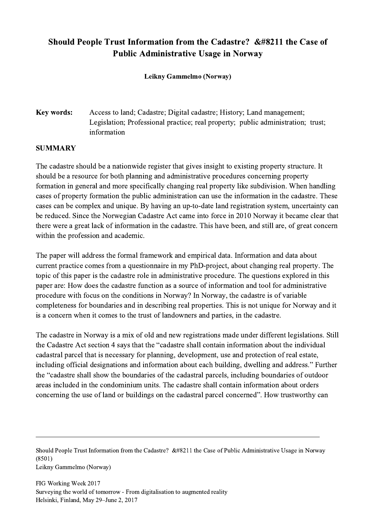## Should People Trust Information from the Cadastre?  $&\#8211$  the Case of Public Administrative Usage in Norway

Leikny Gammelmo (Norway)

## Key words: Access to land; Cadastre; Digital cadastre; History; Land management; Legislation; Professional practice; real property; public administration; trust; information

## **SUMMARY**

The cadastre should be a nationwide register that gives insight to existing property structure. It should be a resource for both planning and administrative procedures concerning property formation in general and more specifically changing real property like subdivision. When handling cases of property formation the public administration can use the information in the cadastre. These cases can be complex and unique. By having an up-to-date land registration system, uncertainty can be reduced. Since the Norwegian Cadastre Act came into force in 2010 Norway it became clear that there were a great lack of information in the cadastre. This have been, and still are, of great concern within the profession and academic.

The paper will address the formal framework and empirical data. Information and data about current practice comes from a questionnaire in my PhD-project, about changing real property. The topic of this paper is the cadastre role in administrative procedure. The questions explored in this paper are: How does the cadastre function as a source of information and tool for administrative procedure with focus on the conditions in Norway? In Norway, the cadastre is of variable completeness for boundaries and in describing real properties. This is not unique for Norway and it is a concern when it comes to the trust of landowners and parties, in the cadastre.

The cadastre in Norway is a mix of old and new registrations made under different legislations. Still the Cadastre Act section 4 says that the "cadastre shall contain information about the individual cadastral parcel that is necessary for planning, development, use and protection of real estate, including official designations and information about each building, dwelling and address." Further the "cadastre shall show the boundaries of the cadastral parcels, including boundaries of outdoor areas included in the condominium units. The cadastre shall contain information about orders concerning the use of land or buildings on the cadastral parcel concerned". How trustworthy can

Should People Trust Information from the Cadastre? &#8211 the Case of Public Administrative Usage in Norway (8501) Leikny Gammelmo (Norway)

 $\mathcal{L}_\mathcal{L} = \{ \mathcal{L}_\mathcal{L} = \{ \mathcal{L}_\mathcal{L} = \{ \mathcal{L}_\mathcal{L} = \{ \mathcal{L}_\mathcal{L} = \{ \mathcal{L}_\mathcal{L} = \{ \mathcal{L}_\mathcal{L} = \{ \mathcal{L}_\mathcal{L} = \{ \mathcal{L}_\mathcal{L} = \{ \mathcal{L}_\mathcal{L} = \{ \mathcal{L}_\mathcal{L} = \{ \mathcal{L}_\mathcal{L} = \{ \mathcal{L}_\mathcal{L} = \{ \mathcal{L}_\mathcal{L} = \{ \mathcal{L}_\mathcal{$ 

FIG Working Week 2017 Surveying the world of tomorrow - From digitalisation to augmented reality Helsinki, Finland, May 29–June 2, 2017